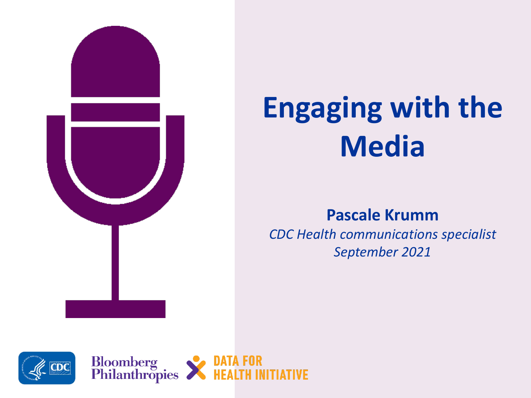

# **Engaging with the Media**

### **Pascale Krumm**

*CDC Health communications specialist September 2021*

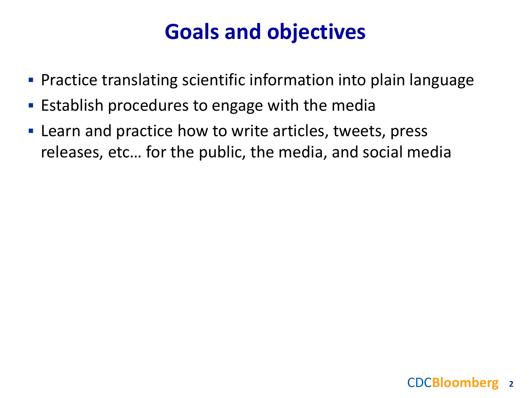## **Goals and objectives**

- Practice translating scientific information into plain language
- **Establish procedures to engage with the media**
- **EXECT** Learn and practice how to write articles, tweets, press releases, etc… for the public, the media, and social media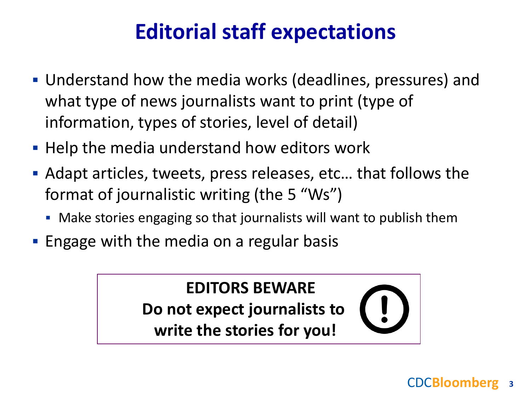# **Editorial staff expectations**

- Understand how the media works (deadlines, pressures) and what type of news journalists want to print (type of information, types of stories, level of detail)
- **Help the media understand how editors work**
- Adapt articles, tweets, press releases, etc… that follows the format of journalistic writing (the 5 "Ws")
	- Make stories engaging so that journalists will want to publish them
- **Engage with the media on a regular basis**

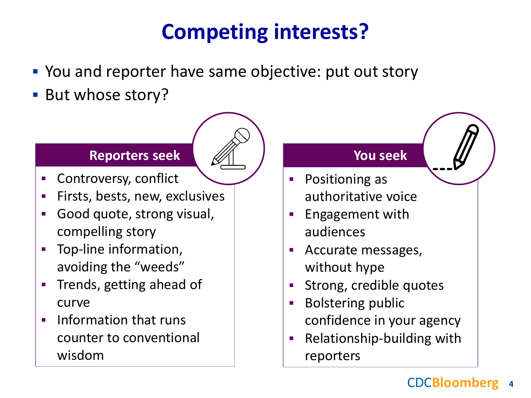# **Competing interests?**

- You and reporter have same objective: put out story
- **But whose story?**

#### **Reporters seek**

- Controversy, conflict
- Firsts, bests, new, exclusives
- Good quote, strong visual, compelling story
- Top-line information, avoiding the "weeds"
- **Trends, getting ahead of** curve
- $\blacksquare$  Information that runs counter to conventional wisdom

#### **You seek**

- **Positioning as** authoritative voice
- Engagement with audiences
- Accurate messages, without hype
- **Strong, credible quotes**
- **Bolstering public** confidence in your agency
- **Relationship-building with** reporters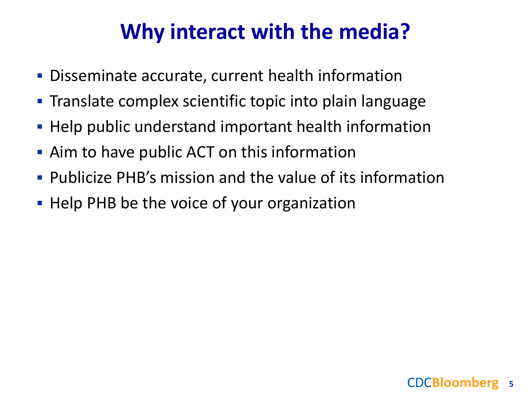### **Why interact with the media?**

- Disseminate accurate, current health information
- Translate complex scientific topic into plain language
- **Help public understand important health information**
- Aim to have public ACT on this information
- Publicize PHB's mission and the value of its information
- Help PHB be the voice of your organization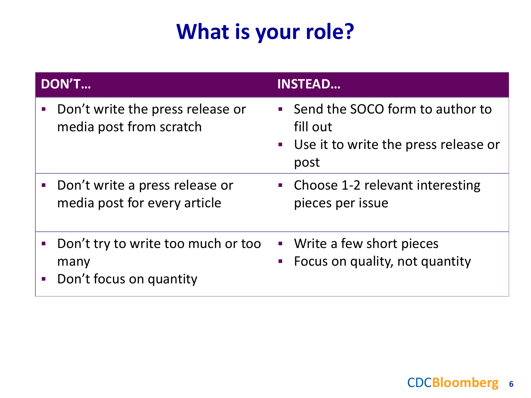# **What is your role?**

| <b>DON'T</b> |                                                                         | <b>INSTEAD</b>           |                                                                                                 |
|--------------|-------------------------------------------------------------------------|--------------------------|-------------------------------------------------------------------------------------------------|
|              | Don't write the press release or<br>media post from scratch             |                          | • Send the SOCO form to author to<br>fill out<br>• Use it to write the press release or<br>post |
|              | • Don't write a press release or<br>media post for every article        |                          | • Choose 1-2 relevant interesting<br>pieces per issue                                           |
|              | • Don't try to write too much or too<br>many<br>Don't focus on quantity | $\overline{\mathcal{M}}$ | • Write a few short pieces<br>Focus on quality, not quantity                                    |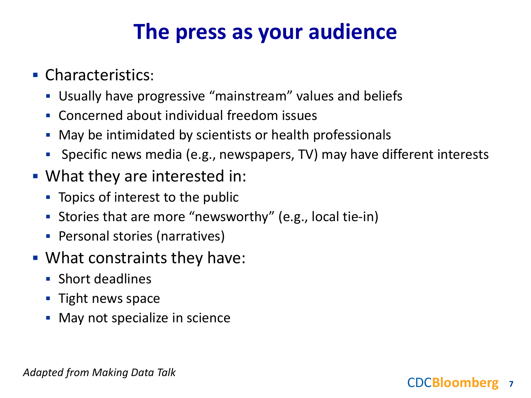## **The press as your audience**

- **Characteristics:** 
	- Usually have progressive "mainstream" values and beliefs
	- Concerned about individual freedom issues
	- May be intimidated by scientists or health professionals
	- Specific news media (e.g., newspapers, TV) may have different interests
- What they are interested in:
	- **T** Topics of interest to the public
	- Stories that are more "newsworthy" (e.g., local tie-in)
	- **Personal stories (narratives)**
- What constraints they have:
	- **Short deadlines**
	- $\blacksquare$  Tight news space
	- **May not specialize in science**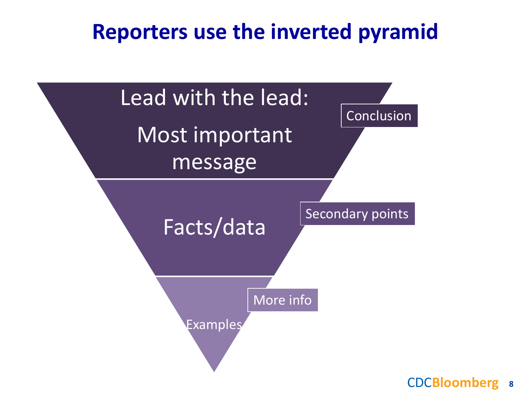### **Reporters use the inverted pyramid**

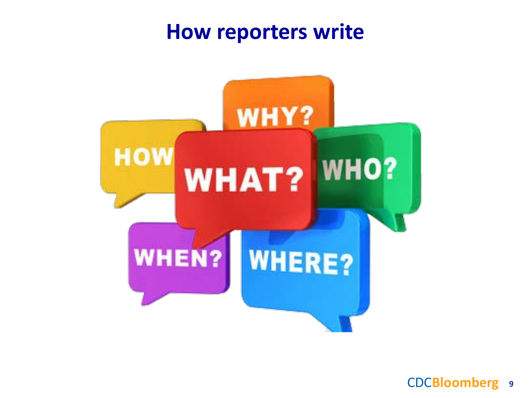### **How reporters write**

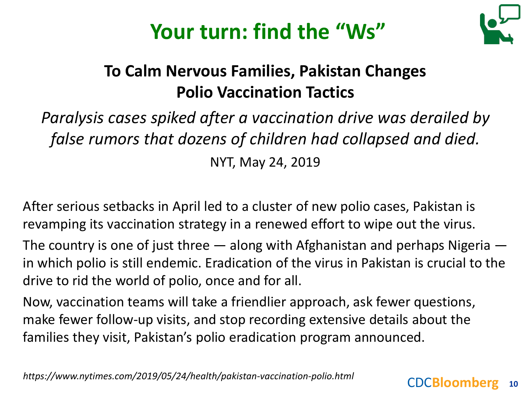



### **To Calm Nervous Families, Pakistan Changes Polio Vaccination Tactics**

### *Paralysis cases spiked after a vaccination drive was derailed by false rumors that dozens of children had collapsed and died.* NYT, May 24, 2019

After serious setbacks in April led to a cluster of new polio cases, Pakistan is revamping its vaccination strategy in a renewed effort to wipe out the virus.

The country is one of just three  $-$  along with Afghanistan and perhaps Nigeria  $$ in which polio is still endemic. Eradication of the virus in Pakistan is crucial to the drive to rid the world of polio, once and for all.

Now, vaccination teams will take a friendlier approach, ask fewer questions, make fewer follow-up visits, and stop recording extensive details about the families they visit, Pakistan's polio eradication program announced.

*https://www.nytimes.com/2019/05/24/health/pakistan-vaccination-polio.html*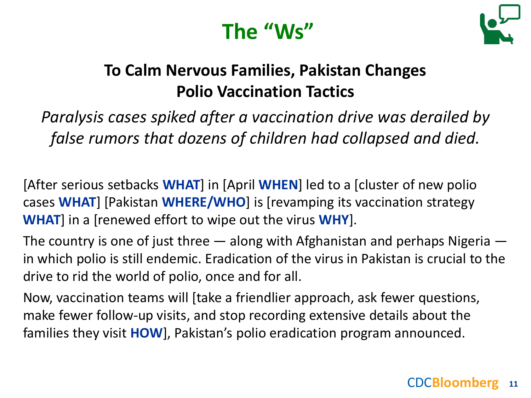# **The "Ws"**



### **To Calm Nervous Families, Pakistan Changes Polio Vaccination Tactics**

*Paralysis cases spiked after a vaccination drive was derailed by false rumors that dozens of children had collapsed and died.*

[After serious setbacks **WHAT**] in [April **WHEN**] led to a [cluster of new polio cases **WHAT**] [Pakistan **WHERE/WHO**] is [revamping its vaccination strategy **WHAT**] in a [renewed effort to wipe out the virus **WHY**].

The country is one of just three  $-$  along with Afghanistan and perhaps Nigeria  $$ in which polio is still endemic. Eradication of the virus in Pakistan is crucial to the drive to rid the world of polio, once and for all.

Now, vaccination teams will [take a friendlier approach, ask fewer questions, make fewer follow-up visits, and stop recording extensive details about the families they visit **HOW**], Pakistan's polio eradication program announced.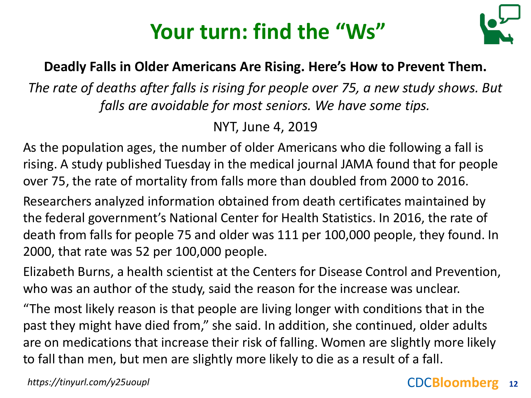# **Your turn: find the "Ws"**



### **Deadly Falls in Older Americans Are Rising. Here's How to Prevent Them.**

*The rate of deaths after falls is rising for people over 75, a new study shows. But falls are avoidable for most seniors. We have some tips.*

NYT, June 4, 2019

As the population ages, the number of older Americans who die following a fall is rising. A study published Tuesday in the medical journal JAMA found that for people over 75, the rate of mortality from falls more than doubled from 2000 to 2016.

Researchers analyzed information obtained from death certificates maintained by the federal government's National Center for Health Statistics. In 2016, the rate of death from falls for people 75 and older was 111 per 100,000 people, they found. In 2000, that rate was 52 per 100,000 people.

Elizabeth Burns, a health scientist at the Centers for Disease Control and Prevention, who was an author of the study, said the reason for the increase was unclear.

"The most likely reason is that people are living longer with conditions that in the past they might have died from," she said. In addition, she continued, older adults are on medications that increase their risk of falling. Women are slightly more likely to fall than men, but men are slightly more likely to die as a result of a fall.

*https://tinyurl.com/y25uoupl*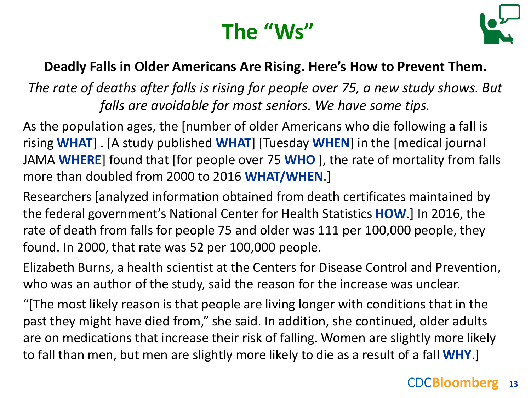# **The "Ws"**



### **Deadly Falls in Older Americans Are Rising. Here's How to Prevent Them.**

*The rate of deaths after falls is rising for people over 75, a new study shows. But falls are avoidable for most seniors. We have some tips.*

As the population ages, the [number of older Americans who die following a fall is rising **WHAT**] . [A study published **WHAT**] [Tuesday **WHEN**] in the [medical journal JAMA **WHERE**] found that [for people over 75 **WHO** ], the rate of mortality from falls more than doubled from 2000 to 2016 **WHAT/WHEN**.]

Researchers [analyzed information obtained from death certificates maintained by the federal government's National Center for Health Statistics **HOW**.] In 2016, the rate of death from falls for people 75 and older was 111 per 100,000 people, they found. In 2000, that rate was 52 per 100,000 people.

Elizabeth Burns, a health scientist at the Centers for Disease Control and Prevention, who was an author of the study, said the reason for the increase was unclear.

"[The most likely reason is that people are living longer with conditions that in the past they might have died from," she said. In addition, she continued, older adults are on medications that increase their risk of falling. Women are slightly more likely to fall than men, but men are slightly more likely to die as a result of a fall **WHY**.]